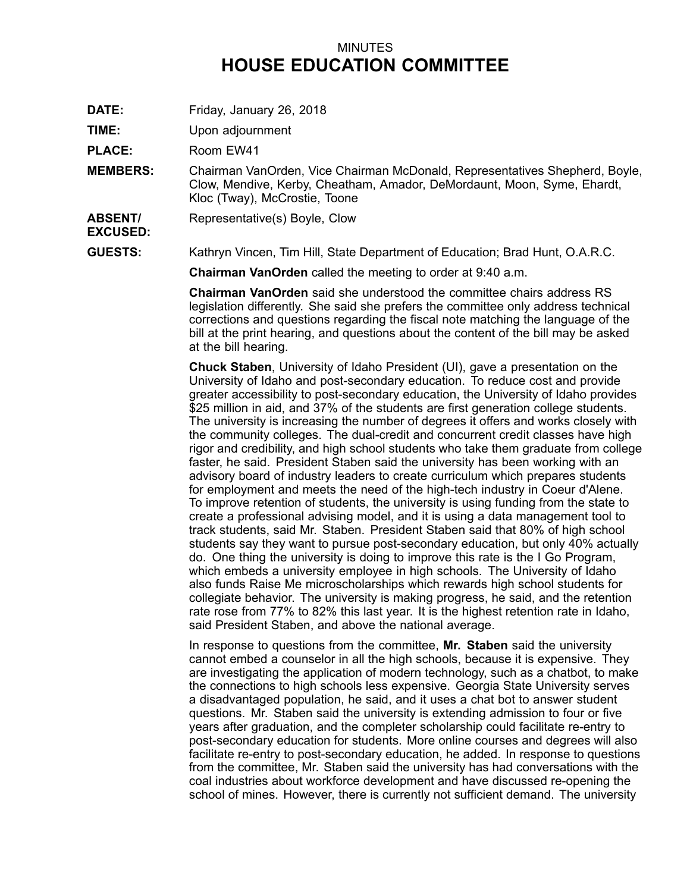## MINUTES **HOUSE EDUCATION COMMITTEE**

**DATE:** Friday, January 26, 2018

**TIME:** Upon adjournment

PLACE: Room EW41

- **MEMBERS:** Chairman VanOrden, Vice Chairman McDonald, Representatives Shepherd, Boyle, Clow, Mendive, Kerby, Cheatham, Amador, DeMordaunt, Moon, Syme, Ehardt, Kloc (Tway), McCrostie, Toone
- **ABSENT/** Representative(s) Boyle, Clow

## **EXCUSED:**

**GUESTS:** Kathryn Vincen, Tim Hill, State Department of Education; Brad Hunt, O.A.R.C.

**Chairman VanOrden** called the meeting to order at 9:40 a.m.

**Chairman VanOrden** said she understood the committee chairs address RS legislation differently. She said she prefers the committee only address technical corrections and questions regarding the fiscal note matching the language of the bill at the print hearing, and questions about the content of the bill may be asked at the bill hearing.

**Chuck Staben**, University of Idaho President (UI), gave <sup>a</sup> presentation on the University of Idaho and post-secondary education. To reduce cost and provide greater accessibility to post-secondary education, the University of Idaho provides \$25 million in aid, and 37% of the students are first generation college students. The university is increasing the number of degrees it offers and works closely with the community colleges. The dual-credit and concurrent credit classes have high rigor and credibility, and high school students who take them graduate from college faster, he said. President Staben said the university has been working with an advisory board of industry leaders to create curriculum which prepares students for employment and meets the need of the high-tech industry in Coeur d'Alene. To improve retention of students, the university is using funding from the state to create <sup>a</sup> professional advising model, and it is using <sup>a</sup> data management tool to track students, said Mr. Staben. President Staben said that 80% of high school students say they want to pursue post-secondary education, but only 40% actually do. One thing the university is doing to improve this rate is the I Go Program, which embeds <sup>a</sup> university employee in high schools. The University of Idaho also funds Raise Me microscholarships which rewards high school students for collegiate behavior. The university is making progress, he said, and the retention rate rose from 77% to 82% this last year. It is the highest retention rate in Idaho, said President Staben, and above the national average.

In response to questions from the committee, **Mr. Staben** said the university cannot embed <sup>a</sup> counselor in all the high schools, because it is expensive. They are investigating the application of modern technology, such as <sup>a</sup> chatbot, to make the connections to high schools less expensive. Georgia State University serves <sup>a</sup> disadvantaged population, he said, and it uses <sup>a</sup> chat bot to answer student questions. Mr. Staben said the university is extending admission to four or five years after graduation, and the completer scholarship could facilitate re-entry to post-secondary education for students. More online courses and degrees will also facilitate re-entry to post-secondary education, he added. In response to questions from the committee, Mr. Staben said the university has had conversations with the coal industries about workforce development and have discussed re-opening the school of mines. However, there is currently not sufficient demand. The university